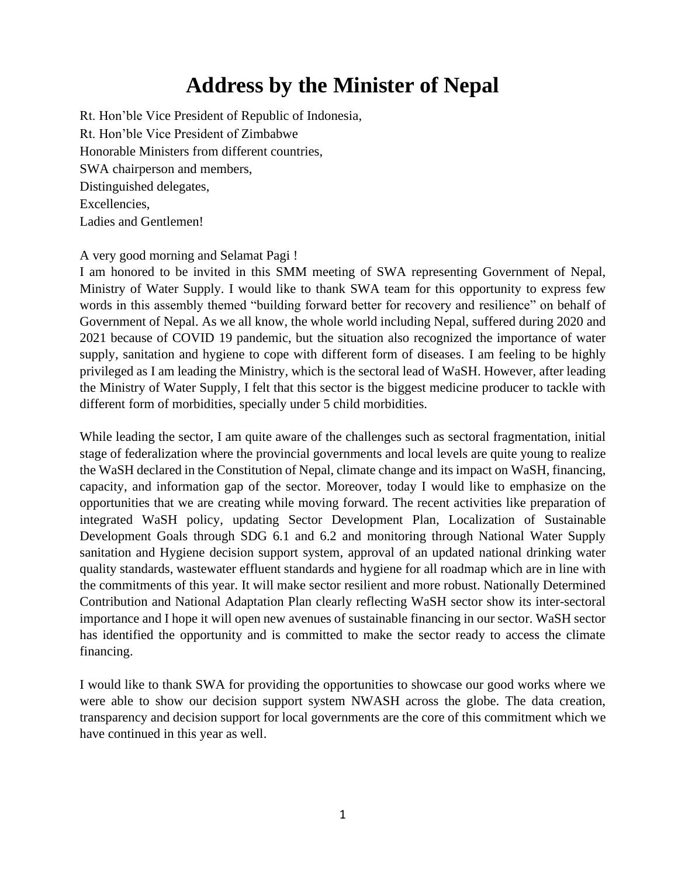## **Address by the Minister of Nepal**

Rt. Hon'ble Vice President of Republic of Indonesia, Rt. Hon'ble Vice President of Zimbabwe Honorable Ministers from different countries, SWA chairperson and members, Distinguished delegates, Excellencies, Ladies and Gentlemen!

## A very good morning and Selamat Pagi !

I am honored to be invited in this SMM meeting of SWA representing Government of Nepal, Ministry of Water Supply. I would like to thank SWA team for this opportunity to express few words in this assembly themed "building forward better for recovery and resilience" on behalf of Government of Nepal. As we all know, the whole world including Nepal, suffered during 2020 and 2021 because of COVID 19 pandemic, but the situation also recognized the importance of water supply, sanitation and hygiene to cope with different form of diseases. I am feeling to be highly privileged as I am leading the Ministry, which is the sectoral lead of WaSH. However, after leading the Ministry of Water Supply, I felt that this sector is the biggest medicine producer to tackle with different form of morbidities, specially under 5 child morbidities.

While leading the sector, I am quite aware of the challenges such as sectoral fragmentation, initial stage of federalization where the provincial governments and local levels are quite young to realize the WaSH declared in the Constitution of Nepal, climate change and its impact on WaSH, financing, capacity, and information gap of the sector. Moreover, today I would like to emphasize on the opportunities that we are creating while moving forward. The recent activities like preparation of integrated WaSH policy, updating Sector Development Plan, Localization of Sustainable Development Goals through SDG 6.1 and 6.2 and monitoring through National Water Supply sanitation and Hygiene decision support system, approval of an updated national drinking water quality standards, wastewater effluent standards and hygiene for all roadmap which are in line with the commitments of this year. It will make sector resilient and more robust. Nationally Determined Contribution and National Adaptation Plan clearly reflecting WaSH sector show its inter-sectoral importance and I hope it will open new avenues of sustainable financing in our sector. WaSH sector has identified the opportunity and is committed to make the sector ready to access the climate financing.

I would like to thank SWA for providing the opportunities to showcase our good works where we were able to show our decision support system NWASH across the globe. The data creation, transparency and decision support for local governments are the core of this commitment which we have continued in this year as well.